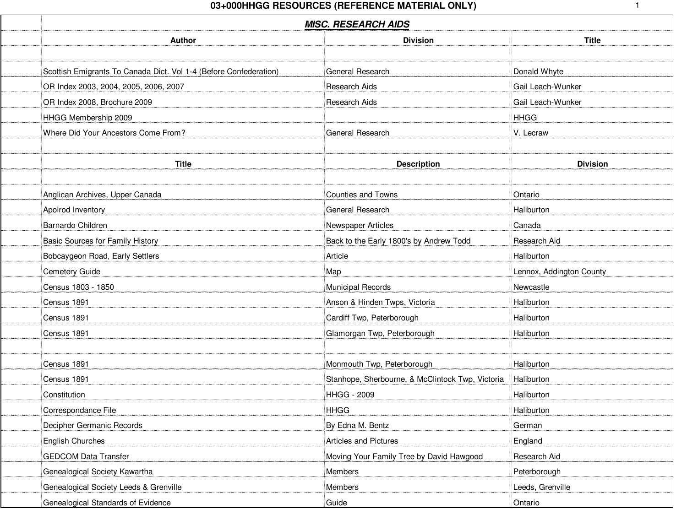| <b>MISC. RESEARCH AIDS</b>                                        |                                                  |                          |  |
|-------------------------------------------------------------------|--------------------------------------------------|--------------------------|--|
| Author                                                            | <b>Division</b>                                  | <b>Title</b>             |  |
| Scottish Emigrants To Canada Dict. Vol 1-4 (Before Confederation) | General Research                                 | Donald Whyte             |  |
| OR Index 2003, 2004, 2005, 2006, 2007                             | Research Aids                                    | Gail Leach-Wunker        |  |
| OR Index 2008, Brochure 2009                                      | Research Aids                                    | Gail Leach-Wunker        |  |
|                                                                   |                                                  |                          |  |
| HHGG Membership 2009                                              |                                                  | <b>HHGG</b>              |  |
| Where Did Your Ancestors Come From?                               | <b>General Research</b>                          | V. Lecraw                |  |
| <b>Title</b>                                                      | <b>Description</b>                               | <b>Division</b>          |  |
| Anglican Archives, Upper Canada                                   | <b>Counties and Towns</b>                        | Ontario                  |  |
| Apolrod Inventory                                                 | General Research                                 | Haliburton               |  |
| Barnardo Children                                                 | Newspaper Articles                               | Canada                   |  |
| Basic Sources for Family History                                  | Back to the Early 1800's by Andrew Todd          | Research Aid             |  |
| Bobcaygeon Road, Early Settlers                                   | Article                                          | Haliburton               |  |
| Cemetery Guide                                                    | Map                                              | Lennox, Addington County |  |
| Census 1803 - 1850                                                | <b>Municipal Records</b>                         | Newcastle                |  |
| Census 1891                                                       | Anson & Hinden Twps, Victoria                    | Haliburton               |  |
| Census 1891                                                       | Cardiff Twp, Peterborough                        | Haliburton               |  |
| Census 1891                                                       | Glamorgan Twp, Peterborough                      | Haliburton               |  |
|                                                                   |                                                  |                          |  |
| Census 1891                                                       | Monmouth Twp, Peterborough                       | Haliburton               |  |
| Census 1891                                                       | Stanhope, Sherbourne, & McClintock Twp, Victoria | Haliburton               |  |
| Constitution                                                      | <b>HHGG - 2009</b>                               | Haliburton               |  |
| Correspondance File                                               | <b>HHGG</b>                                      | Haliburton               |  |
| Decipher Germanic Records                                         | By Edna M. Bentz                                 | German                   |  |
| <b>English Churches</b>                                           | Articles and Pictures                            | England                  |  |
| <b>GEDCOM Data Transfer</b>                                       | Moving Your Family Tree by David Hawgood         | Research Aid             |  |
| Genealogical Society Kawartha                                     | Members                                          | Peterborough             |  |
| Genealogical Society Leeds & Grenville                            | Members                                          | Leeds, Grenville         |  |
| Genealogical Standards of Evidence                                | Guide                                            | Ontario                  |  |